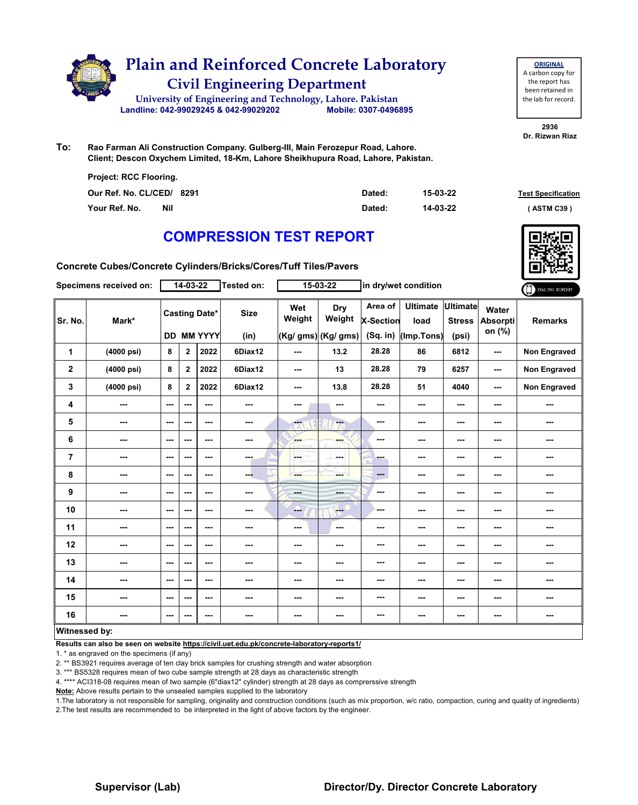

**To: Rao Farman Ali Construction Company. Gulberg-III, Main Ferozepur Road, Lahore. Client; Descon Oxychem Limited, 18-Km, Lahore Sheikhupura Road, Lahore, Pakistan.**

| Project: RCC Flooring.    |        |          |                           |
|---------------------------|--------|----------|---------------------------|
| Our Ref. No. CL/CED/ 8291 | Dated: | 15-03-22 | <b>Test Specification</b> |
| Your Ref. No.<br>Nil      | Dated: | 14-03-22 | (ASTM C39)                |

## **COMPRESSION TEST REPORT**

**Concrete Cubes/Concrete Cylinders/Bricks/Cores/Tuff Tiles/Pavers**

|                      | Specimens received on: |                          | $14 - 03 - 22$ |                                           | Tested on:          |                          | 15-03-22                             |                                           | in dry/wet condition                  |                                           |                             | ONLINE REPORT       |
|----------------------|------------------------|--------------------------|----------------|-------------------------------------------|---------------------|--------------------------|--------------------------------------|-------------------------------------------|---------------------------------------|-------------------------------------------|-----------------------------|---------------------|
| Sr. No.              | Mark*                  |                          |                | <b>Casting Date*</b><br><b>DD MM YYYY</b> | <b>Size</b><br>(in) | Wet<br>Weight            | Dry<br>Weight<br>(Kg/ gms) (Kg/ gms) | Area of<br><b>X-Section</b><br>$(Sq.$ in) | <b>Ultimate</b><br>load<br>(Imp.Tons) | <b>Ultimate</b><br><b>Stress</b><br>(psi) | Water<br>Absorpti<br>on (%) | <b>Remarks</b>      |
| 1                    | (4000 psi)             | 8                        | $\mathbf{2}$   | 2022                                      | 6Diax12             | ---                      | 13.2                                 | 28.28                                     | 86                                    | 6812                                      | ---                         | Non Engraved        |
| $\mathbf{2}$         | (4000 psi)             | 8                        | $\mathbf 2$    | 2022                                      | 6Diax12             | ---                      | 13                                   | 28.28                                     | 79                                    | 6257                                      | $\overline{\phantom{a}}$    | <b>Non Engraved</b> |
| 3                    | (4000 psi)             | 8                        | $\mathbf{2}$   | 2022                                      | 6Diax12             | $\overline{\phantom{a}}$ | 13.8                                 | 28.28                                     | 51                                    | 4040                                      | ---                         | Non Engraved        |
| 4                    | ---                    | $\overline{\phantom{a}}$ | ---            | $--$                                      | ---                 | ---                      | ---                                  | ---                                       | ---                                   | ---                                       | ---                         | ---                 |
| 5                    | ---                    | $\sim$ $\sim$            | ---            | $--$                                      | ---                 | ---                      | <b>Fax</b>                           | ---                                       | ---                                   | ---                                       | ---                         | ---                 |
| 6                    | ---                    | ---                      | ---            | ---                                       | ---                 | <b>Bar</b>               | ---                                  | ---                                       | ---                                   | ---                                       | ---                         | ---                 |
| $\overline{7}$       | ---                    | $\sim$ $\sim$            | ---            | ---                                       | ---                 | part of                  | in men                               | - -                                       | ---                                   | ---                                       | ---                         | ---                 |
| 8                    | ---                    | $\sim$                   | ---            | ---                                       | --                  | ---                      | ---                                  | ---                                       | ---                                   | ---                                       | ---                         | ---                 |
| 9                    | ---                    | $\sim$                   | ---            | ---                                       | $\cdots$            | <b>House</b>             | <b>STORY</b>                         | ---                                       | ---                                   | ---                                       | ---                         | ---                 |
| 10                   | ---                    | $\overline{\phantom{a}}$ | ---            | ---                                       | ---                 | ---                      | <b>Fee</b>                           | ---                                       | ---                                   | ---                                       | ---                         | ---                 |
| 11                   | ---                    | $\sim$                   | ---            | ---                                       | ---                 | ---                      | $\cdots$                             | ---                                       | ---                                   | ---                                       | ---                         | ---                 |
| 12                   | ---                    | $\sim$ $\sim$            | ---            | ---                                       | ---                 | ---                      | ---                                  | ---                                       | ---                                   | ---                                       | ---                         | ---                 |
| 13                   | ---                    | $\sim$ $\sim$            | ---            | ---                                       | ---                 | ---                      | ---                                  | ---                                       | ---                                   | ---                                       | ---                         | ---                 |
| 14                   | ---                    | $\overline{\phantom{a}}$ | ---            | ---                                       | ---                 | ---                      | ---                                  | ---                                       | ---                                   | ---                                       | ---                         | ---                 |
| 15                   | ---                    | $\sim$ $\sim$            | ---            | ---                                       | ---                 | ---                      | ---                                  | ---                                       | ---                                   | ---                                       | ---                         | ---                 |
| 16                   | ---                    | $\cdots$                 | ---            | ---                                       | ---                 | ---                      | ---                                  | ---                                       | ---                                   | ---                                       | ---                         | ---                 |
| <b>Witnessed by:</b> |                        |                          |                |                                           |                     |                          |                                      |                                           |                                       |                                           |                             |                     |

#### **Witnessed by:**

**Results can also be seen on website https://civil.uet.edu.pk/concrete-laboratory-reports1/**

1. \* as engraved on the specimens (if any)

2. \*\* BS3921 requires average of ten clay brick samples for crushing strength and water absorption

3. \*\*\* BS5328 requires mean of two cube sample strength at 28 days as characteristic strength

4. \*\*\*\* ACI318-08 requires mean of two sample (6"diax12" cylinder) strength at 28 days as comprerssive strength

**Note:** Above results pertain to the unsealed samples supplied to the laboratory

1.The laboratory is not responsible for sampling, originality and construction conditions (such as mix proportion, w/c ratio, compaction, curing and quality of ingredients) 2.The test results are recommended to be interpreted in the light of above factors by the engineer.

**2936 Dr. Rizwan Riaz**





#### **Supervisor (Lab) Director/Dy. Director Concrete Laboratory**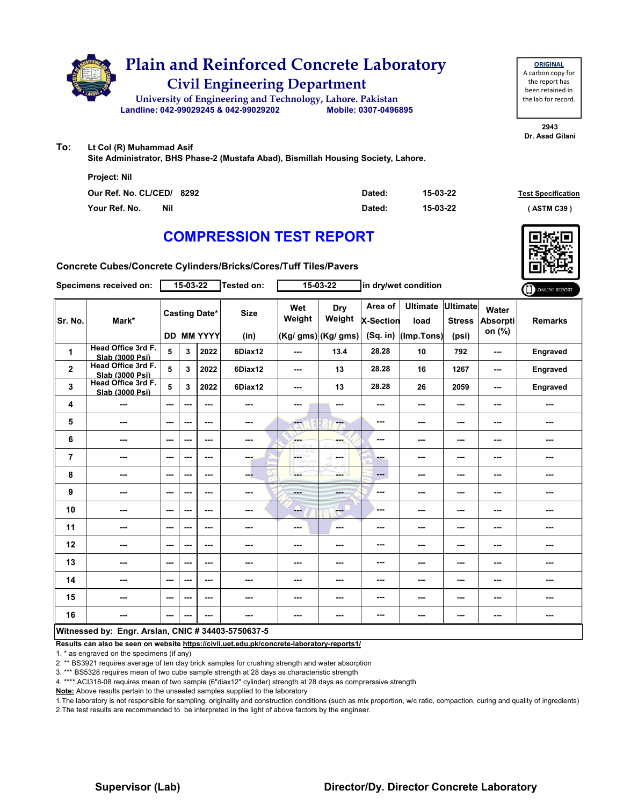

**ORIGINAL** A carbon copy for the report has been retained in the lab for record.

**2943 Dr. Asad Gilani**

**To: Lt Col (R) Muhammad Asif** 

**Site Administrator, BHS Phase-2 (Mustafa Abad), Bismillah Housing Society, Lahore.**

| Project: Nil                |        |          |                           |
|-----------------------------|--------|----------|---------------------------|
| Our Ref. No. CL/CED/ 8292   | Dated: | 15-03-22 | <b>Test Specification</b> |
| Your Ref. No.<br><b>Nil</b> | Dated: | 15-03-22 | (ASTM C39)                |

## **COMPRESSION TEST REPORT**

**Concrete Cubes/Concrete Cylinders/Bricks/Cores/Tuff Tiles/Pavers**

|                | Specimens received on:                             |               | 15-03-22 |                                           | Tested on:               |               | 15-03-22                             |                                           | in dry/wet condition                  |                                           |                                    | ONLINE REPORT   |
|----------------|----------------------------------------------------|---------------|----------|-------------------------------------------|--------------------------|---------------|--------------------------------------|-------------------------------------------|---------------------------------------|-------------------------------------------|------------------------------------|-----------------|
| Sr. No.        | Mark*                                              |               |          | <b>Casting Date*</b><br><b>DD MM YYYY</b> | <b>Size</b><br>(in)      | Wet<br>Weight | Dry<br>Weight<br>(Kg/ gms) (Kg/ gms) | Area of<br><b>X-Section</b><br>$(Sq.$ in) | <b>Ultimate</b><br>load<br>(Imp.Tons) | <b>Ultimate</b><br><b>Stress</b><br>(psi) | Water<br><b>Absorpti</b><br>on (%) | <b>Remarks</b>  |
| 1              | Head Office 3rd F.<br>Slab (3000 Psi)              | 5             | 3        | 2022                                      | 6Diax12                  | ---           | 13.4                                 | 28.28                                     | 10                                    | 792                                       | ---                                | Engraved        |
| $\mathbf{2}$   | Head Office 3rd F.<br>Slab (3000 Psi)              | 5             | 3        | 2022                                      | 6Diax12                  | ---           | 13                                   | 28.28                                     | 16                                    | 1267                                      | ---                                | Engraved        |
| 3              | Head Office 3rd F.<br>Slab (3000 Psi)              | 5             | 3        | 2022                                      | 6Diax12                  | ---           | 13                                   | 28.28                                     | 26                                    | 2059                                      | ---                                | <b>Engraved</b> |
| 4              | ---                                                | ---           | ---      | ---                                       | $\overline{\phantom{a}}$ | ---           | ---                                  | ---                                       | ---                                   | ---                                       | ---                                | ---             |
| 5              | ---                                                | ---           | ---      | ---                                       | ---                      | ---           | ---                                  | ---                                       | ---                                   | ---                                       | ---                                | ---             |
| 6              | ---                                                | $\sim$ $\sim$ | ---      | ---                                       | ---                      | ---           | ---                                  | ---                                       | ---                                   | ---                                       | ---                                | ---             |
| $\overline{7}$ | ---                                                | $--$          | ---      | ---                                       | ---                      | LGS.          | ---                                  | ---                                       | ---                                   | $--$                                      | ---                                | ---             |
| 8              | ---                                                | $--$          | ---      | $--$                                      | ---                      | ---           | ---                                  | ---                                       | ---                                   | ---                                       | ---                                | ---             |
| 9              | ---                                                | ---           | ---      | $--$                                      | ---                      | men.          | ---                                  | ---                                       | ---                                   | ---                                       | ---                                | ---             |
| 10             | ---                                                | $- - -$       | ---      | ---                                       | ---                      | ---           | $\frac{1}{2}$                        | ---                                       | ---                                   | ---                                       | ---                                | ---             |
| 11             | ---                                                | ---           | ---      | ---                                       | ---                      | ---           | ---                                  | ---                                       | ---                                   | ---                                       | ---                                | ---             |
| 12             | ---                                                | $--$          | ---      | ---                                       | ---                      | ---           | ---                                  | ---                                       | ---                                   | ---                                       | ---                                |                 |
| 13             | ---                                                | ---           | ---      | ---                                       | ---                      | ---           | ---                                  | ---                                       | ---                                   | ---                                       | ---                                | ---             |
| 14             | ---                                                | $- - -$       | ---      | ---                                       | ---                      | ---           | ---                                  | ---                                       | ---                                   | ---                                       | ---                                | ---             |
| 15             | ---                                                | $--$          | ---      | ---                                       | ---                      | ---           | ---                                  | ---                                       | ---                                   | ---                                       | ---                                | ---             |
| 16             | ---                                                | ---           | ---      | ---                                       | $\sim$                   | ---           | ---                                  | ---                                       | ---                                   | ---                                       | ---                                | ---             |
|                | Witnessed by: Engr. Arslan, CNIC # 34403-5750637-5 |               |          |                                           |                          |               |                                      |                                           |                                       |                                           |                                    |                 |

**Results can also be seen on website https://civil.uet.edu.pk/concrete-laboratory-reports1/**

1. \* as engraved on the specimens (if any)

2. \*\* BS3921 requires average of ten clay brick samples for crushing strength and water absorption

3. \*\*\* BS5328 requires mean of two cube sample strength at 28 days as characteristic strength

4. \*\*\*\* ACI318-08 requires mean of two sample (6"diax12" cylinder) strength at 28 days as comprerssive strength

**Note:** Above results pertain to the unsealed samples supplied to the laboratory

1.The laboratory is not responsible for sampling, originality and construction conditions (such as mix proportion, w/c ratio, compaction, curing and quality of ingredients) 2.The test results are recommended to be interpreted in the light of above factors by the engineer.

#### **Supervisor (Lab) Director/Dy. Director Concrete Laboratory**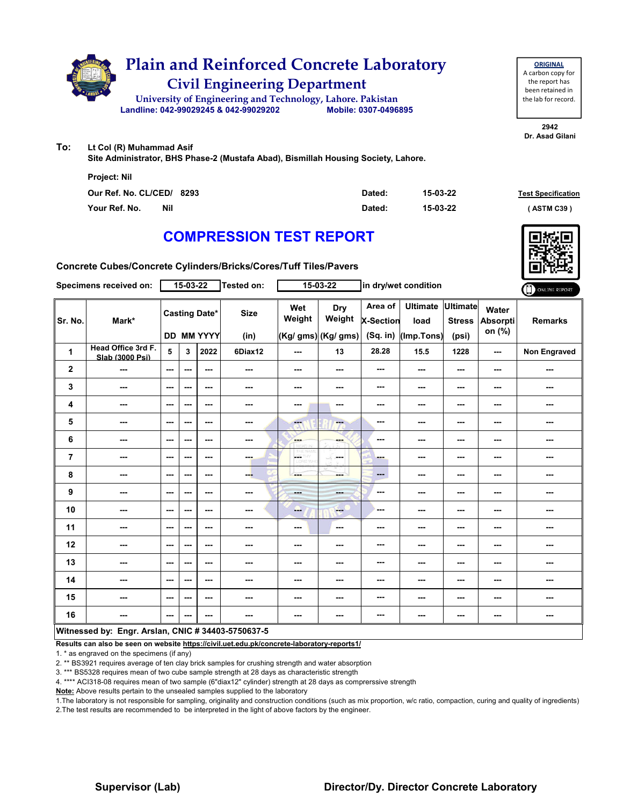

**ORIGINAL** A carbon copy for the report has been retained in the lab for record.

**2942 Dr. Asad Gilani**

**To: Lt Col (R) Muhammad Asif**

**Site Administrator, BHS Phase-2 (Mustafa Abad), Bismillah Housing Society, Lahore.**

| Project: Nil                |        |          |                           |
|-----------------------------|--------|----------|---------------------------|
| Our Ref. No. CL/CED/ 8293   | Dated: | 15-03-22 | <b>Test Specification</b> |
| Your Ref. No.<br><b>Nil</b> | Dated: | 15-03-22 | (ASTM C39)                |

## **COMPRESSION TEST REPORT**

**Concrete Cubes/Concrete Cylinders/Bricks/Cores/Tuff Tiles/Pavers**

|                | Specimens received on:                             |                          | $15 - 03 - 22$           |                                           | Tested on:               |                                 | 15-03-22                             |                                           | in dry/wet condition                  |                                    |                             | ONLINE REPORT       |
|----------------|----------------------------------------------------|--------------------------|--------------------------|-------------------------------------------|--------------------------|---------------------------------|--------------------------------------|-------------------------------------------|---------------------------------------|------------------------------------|-----------------------------|---------------------|
| Sr. No.        | Mark*                                              |                          |                          | <b>Casting Date*</b><br><b>DD MM YYYY</b> | <b>Size</b><br>(in)      | Wet<br>Weight                   | Dry<br>Weight<br>(Kg/ gms) (Kg/ gms) | Area of<br><b>X-Section</b><br>$(Sq.$ in) | <b>Ultimate</b><br>load<br>(Imp.Tons) | Ultimate<br><b>Stress</b><br>(psi) | Water<br>Absorpti<br>on (%) | <b>Remarks</b>      |
| 1              | Head Office 3rd F.<br>Slab (3000 Psi)              | 5                        | 3                        | 2022                                      | 6Diax12                  | ---                             | 13                                   | 28.28                                     | 15.5                                  | 1228                               | ---                         | <b>Non Engraved</b> |
| $\mathbf{2}$   | ---                                                | $\sim$ $\sim$            | $\sim$ $\sim$            | ---                                       | ---                      | ---                             | ---                                  | $- - -$                                   | ---                                   | ---                                | $\sim$                      | ---                 |
| 3              | ---                                                | $\sim$ $\sim$            | ---                      | $\overline{\phantom{a}}$                  | $\overline{\phantom{a}}$ | ---                             | ---                                  | ---                                       | ---                                   | ---                                | ---                         | ---                 |
| 4              | ---                                                | $\sim$ $\sim$            | ---                      | $\overline{\phantom{a}}$                  | ---                      | ---                             | ---                                  | $- - -$                                   | ---                                   | ---                                | ---                         | ---                 |
| 5              | $\overline{\phantom{a}}$                           | $\sim$ $\sim$            | ---                      | ---                                       | ---                      | $\overline{\mathbf{a}}$         | <b>Ford</b>                          | ---                                       | ---                                   | ---                                | ---                         | ---                 |
| 6              | ---                                                | $\sim$ $\sim$            | ---                      | $\overline{\phantom{a}}$                  | $\overline{\phantom{a}}$ | ---                             | ---                                  | ---                                       | ---                                   | ---                                | ---                         | ---                 |
| $\overline{7}$ | ---                                                | $\sim$                   | $\overline{\phantom{a}}$ | $\overline{\phantom{a}}$                  | ---                      | part of<br>W<br><b>LORD WHI</b> | المحافيات<br>in ma                   | -                                         | ---                                   | ---                                | ---                         | ---                 |
| 8              | ---                                                | $\sim$                   | ---                      | $\sim$                                    | ---                      | ---                             | ---                                  | $\qquad \qquad \cdots$                    | ---                                   | ---                                | ---                         | ---                 |
| 9              | ---                                                | $\sim$ $\sim$            | ---                      | ---                                       | $\sim$ $\sim$            | <b>House</b>                    | <b>STATE</b>                         | $- - -$                                   | ---                                   | ---                                | ---                         | ---                 |
| 10             | ---                                                | $\sim$ $\sim$            | ---                      | ---                                       | ---                      | ---                             | $\frac{1}{2}$                        | ---                                       | ---                                   | ---                                | ---                         | ---                 |
| 11             | $\sim$                                             | $\sim$                   | ---                      | ---                                       | ---                      | ---                             | $- - -$                              | ---                                       | ---                                   | ---                                | ---                         | ---                 |
| 12             | ---                                                | $\sim$ $\sim$            | ---                      | $--$                                      | ---                      | ---                             | ---                                  | ---                                       | ---                                   | ---                                | ---                         | ---                 |
| 13             | ---                                                | $\sim$ $\sim$            | ---                      | $\overline{\phantom{a}}$                  | ---                      | ---                             | ---                                  | $\sim$                                    | ---                                   | ---                                | ---                         | ---                 |
| 14             | $\sim$ $\sim$                                      | $\sim$ $\sim$            | ---                      | $- - -$                                   | ---                      | ---                             | ---                                  | $\sim$                                    | ---                                   | ---                                | ---                         | ---                 |
| 15             | ---                                                | $\sim$ $\sim$            | ---                      | ---                                       | ---                      | ---                             | ---                                  | ---                                       | ---                                   | ---                                | ---                         | ---                 |
| 16             | $\sim$                                             | $\hspace{0.05cm} \ldots$ | ---                      | ---                                       | ---                      | ---                             | ---                                  | $- - -$                                   | ---                                   | ---                                | $\cdots$                    | ---                 |
|                | Witnessed by: Engr. Arslan, CNIC # 34403-5750637-5 |                          |                          |                                           |                          |                                 |                                      |                                           |                                       |                                    |                             |                     |

**Results can also be seen on website https://civil.uet.edu.pk/concrete-laboratory-reports1/**

1. \* as engraved on the specimens (if any)

2. \*\* BS3921 requires average of ten clay brick samples for crushing strength and water absorption

3. \*\*\* BS5328 requires mean of two cube sample strength at 28 days as characteristic strength

4. \*\*\*\* ACI318-08 requires mean of two sample (6"diax12" cylinder) strength at 28 days as comprerssive strength

**Note:** Above results pertain to the unsealed samples supplied to the laboratory

1.The laboratory is not responsible for sampling, originality and construction conditions (such as mix proportion, w/c ratio, compaction, curing and quality of ingredients) 2.The test results are recommended to be interpreted in the light of above factors by the engineer.